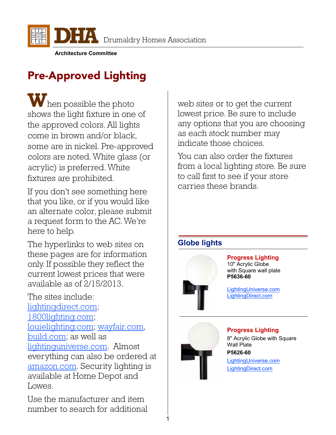

**Architecture Committee**

## Pre-Approved Lighting

W<sub>hen possible the photo</sub> shows the light fixture in one of the approved colors. All lights come in brown and/or black, some are in nickel. Pre-approved colors are noted. White glass (or acrylic) is preferred. White fixtures are prohibited.

If you don't see something here that you like, or if you would like an alternate color, please submit a request form to the AC. We're here to help.

The hyperlinks to web sites on these pages are for information only. If possible they reflect the current lowest prices that were available as of 2/15/2013.

The sites include: [lightingdirect.com;](http://www.lightingdirect.com/) [1800lighting.com;](http://www.1800lighting.com/) [louielighting.com;](http://www.louielighting.com/) [wayfair.com,](http://www.wayfair.com/) [build.com;](http://www.build.com/) as well as [lightinguniverse.com.](http://www.lightinguniverse.com/) Almost everything can also be ordered at [amazon.com.](http://www.amazon.com/) Security lighting is available at Home Depot and Lowes.

Use the manufacturer and item number to search for additional web sites or to get the current lowest price. Be sure to include any options that you are choosing as each stock number may indicate those choices.

You can also order the fixtures from a local lighting store. Be sure to call first to see if your store carries these brands.

## **Globe lights**



#### **Progress Lighting**

10" Acrylic Globe with Square wall plate **P5636-60**

[LightingUniverse.com](http://www.lightinguniverse.com/products/view.aspx?sku=337280) [LightingDirect.com](http://www.lightingdirect.com/progress-lighting-p5636-functional-1-light-outdoor-wall-sconce-from-the-white-acrylic-globes-collection/p357967?searched=search:browse&term=p5636-60)



#### **Progress Lighting**

8" Acrylic Globe with Square Wall Plate **P5626-60** [LightingUniverse.com](http://www.lightinguniverse.com/products/view.aspx?sku=337272) [LightingDirect.com](http://www.lightingdirect.com/progress-lighting-p5626-1-light-acrylic-globe-outdoor-wall-sconce/p357953?searched=product:display&term=p5626-60)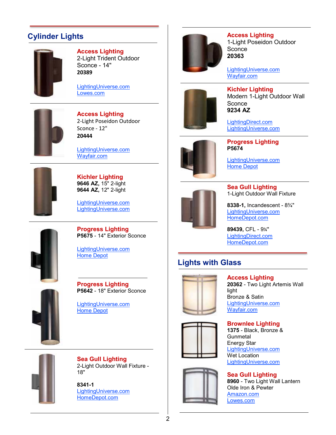## **Cylinder Lights**



#### **Access Lighting**

2-Light Trident Outdoor Sconce - 14" **20389**

[LightingUniverse.com](http://www.lightinguniverse.com/outdoor-sconces/access-lighting-20389mg-2-light-trident-wet-location-wallwasher-outdoor-sconce_g694224.html?linkloc=searchProductItemsName&term=20389) [Lowes.com](http://www.lowes.com/pd_21331-43942-20389MG-BRZ/CLR_4294713192__?productId=4070245&Ntt=access+lighting)



**Access Lighting** 2-Light Poseidon Outdoor Sconce - 12" **20444**

[LightingUniverse.com](http://www.lightinguniverse.com/outdoor-sconces/access-lighting-20444-brz-2-light-poseidon-outdoor-sconce_g549081.html?isku=5218169&linkloc=cataLogProductItemsImage) [Wayfair.com](http://www.wayfair.com/Access-Lighting-Poseidon-Damp-Location-Wall-Sconce-20444-AQ2837.html)



**Kichler Lighting 9646 AZ,** 15" 2-light **9644 AZ,** 12" 2-light

[LightingUniverse.com](http://www.lightinguniverse.com/products/view.aspx?sku=402691) LightingUniverse.com

**Progress Lighting P5675** - 14" Exterior Sconce

[LightingUniverse.com](http://www.lightinguniverse.com/products/view.aspx?sku=337348&searchTerm=P5675)



[Home Depot](http://www.homedepot.com/Lighting-Fans-Outdoor-Lighting-Outdoor-Wall-Mount/h_d1/N-5yc1vZ1xh7Zarwi/R-100467595/h_d2/ProductDisplay?langId=-1&storeId=10051&catalogId=10053)



**Progress Lighting P5642** - 18" Exterior Sconce

[LightingUniverse.com](http://www.lightinguniverse.com/products/view.aspx?searchTerm=P5642&sku=337288) [Home Depot](http://www.homedepot.com/Lighting-Fans-Outdoor-Lighting-Outdoor-Wall-Mount/h_d1/N-5yc1vZ1xh7Zarwi/R-100467528/h_d2/ProductDisplay?langId=-1&storeId=10051&catalogId=10053)



**Sea Gull Lighting** 2-Light Outdoor Wall Fixture - 18"

**8341-1** [LightingUniverse.com](http://www.lightinguniverse.com/outdoor-sconces/sea-gull-lighting-8341-1-2-light-outdoor-bullet-sconce_g11228.html?isku=268438&term=8341&linkloc=searchProductItemsImage) [HomeDepot.com](http://www.homedepot.com/h_d1/N-5yc1v/R-203832690/h_d2/ProductDisplay?catalogId=10053&langId=-1&keyword=8341&storeId=10051#.UQV4kr-7N8E)



**Access Lighting** 1-Light Poseidon Outdoor **Sconce** 

**[20363](http://www.lightinguniverse.com/outdoor-sconces/progress-lighting-p5674-aluminum-cylinder-outdoor-sconce_g18787.html?linkLoc=bought)**

[LightingUniverse.com](http://www.lightinguniverse.com/outdoor-sconces/access-lighting-20363-brz-poseidon-outdoor-sconce_g549079.html?isku=5218165&linkloc=cataLogProductItemsImage) [Wayfair.com](http://www.wayfair.com/Access-Lighting-Poseidon-Outdoor-Wall-Sconce-20363-AQ2836.html)



**Kichler Lighting** Modern 1-Light Outdoor Wall Sconce **9234 AZ**

[LightingDirect.com](http://www.lightingdirect.com/kichler-9234-contemporary-modern-1-light-outdoor-wall-sconce/p845094) [LightingUniverse.com](http://www.lightinguniverse.com/products/view.aspx?sku=402827)



**Progress Lighting P5674**

[LightingUniverse.com](http://www.lightinguniverse.com/outdoor-sconces/progress-lighting-p5674-aluminum-cylinder-outdoor-sconce_g18787.html?linkLoc=bought) [Home Depot](http://www.homedepot.com/h_d1/N-5yc1v/R-100467593/h_d2/ProductDisplay?catalogId=10053&langId=-1&keyword=Progress+p5674&storeId=10051&superSkuId=202572935#.UPmGtG-7N8E)



**Sea Gull Lighting** 1-Light Outdoor Wall Fixture

**8338-1,** Incandescent - 8¾" [LightingUniverse.com](http://www.lightinguniverse.com/outdoor-sconces/sea-gull-lighting-8341-1-2-light-outdoor-bullet-sconce_g11228.html?isku=268438&term=8341&linkloc=searchProductItemsImage) [HomeDepot.com](http://www.homedepot.com/h_d1/N-5yc1v/R-203832587/h_d2/ProductDisplay?catalogId=10053&langId=-1&keyword=8338&storeId=10051#.UQV5ar-7N8E)

**89439,** CFL - 9¼" [LightingDirect.com](http://www.lightingdirect.com/sea-gull-lighting-89439dpble-single-light-outdoor-wall-sconce/p832703) [HomeDepot.com](http://www.homedepot.com/h_d1/N-5yc1v/R-203595079/h_d2/ProductDisplay?catalogId=10053&langId=-1&keyword=89439&storeId=10051#.UQV6dr-7N8E)

## **Lights with Glass**







**Access Lighting 20362** - Two Light Artemis Wall light Bronze & Satin [LightingUniverse.com](http://www.lightinguniverse.com/general/access-lighting-20362-artemis-2-light-outdoor-wall-light_g548915.html?isku=5217534&linkloc=searchProductItemsImage) [Wayfair.com](http://www.wayfair.com/Access-Lighting-Artemis-Outdoor-Wall-Sconce-with-Opal-Glass-20362-AQ1173.html)

**Brownlee Lighting 1375** - Black, Bronze & Gunmetal Energy Star [LightingUniverse.com](http://www.lightinguniverse.com/wall-sconces/brownlee-lighting-1375-energy-star-wall-sconce_g409037.html?linkloc=searchProductItemsName&term=brownlee-1375) Wet Location [LightingUniverse.com](http://www.lightinguniverse.com/outdoor-sconces/brownlee-lighting-1375-wet-location-outdoor-sconce_g676788.html?linkloc=searchProductItemsName&term=brownlee-1375)

**Sea Gull Lighting 8960** - Two Light Wall Lantern Olde Iron & Pewter [Amazon.com](http://www.amazon.com/gp/product/B000CS0FDM/ref=noref?ie=UTF8&psc=1&s=hi) [Lowes.com](http://www.lowes.com/pd_157380-22685-8960PBLE-72_4294857792+4294867539+4294963671_4294937087?productId=1037773&pl=1¤tURL=/pl_Sea%2BGull%2BLighting_4294857792%204294867539%204294963671_4294937087_?rpp=30$No=60)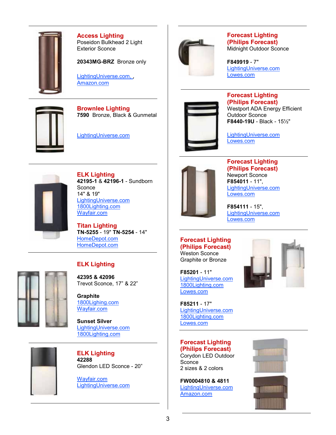

**Access Lighting** Poseidon Bulkhead 2 Light Exterior Sconce

**20343MG-BRZ** Bronze only

[LightingUniverse.com,](http://www.lightinguniverse.com/products/view.aspx?sku=3194549) [Amazon.com](http://www.amazon.com/Access-Lighting-20343MG-BRZ-RFR-Poseidon/dp/B001MK1K1U/ref=sr_1_2?s=hi&ie=UTF8&qid=1359229714&sr=1-2&keywords=20343)



**Brownlee Lighting 7590** Bronze, Black & Gunmetal

[LightingUniverse.com](http://www.lightinguniverse.com/products/view.aspx?sku=6613381&linkloc=singleSearchResult)



#### **Forecast Lighting (Philips Forecast)** Midnight Outdoor Sconce

**F849919** - 7" [LightingUniverse.com](http://www.lightinguniverse.com/products/view.aspx?sku=799296) [Lowes.com](http://www.lowes.com/pd_424828-45020-F849919_4294713192__?productId=4143683&Ntt=forecast+lighting)



#### **Forecast Lighting (Philips Forecast)**

Westport ADA Energy Efficient Outdoor Sconce **F8440-19U** - Black - 15½"

[LightingUniverse.com](http://www.lightinguniverse.com/products/view.aspx?sku=2489011&searchTerm=F8440) [Lowes.com](http://www.lowes.com/pd_424828-45020-F844019U_4294713192__?productId=4143629&Ntt=forecast+lighting)



**ELK Lighting 42195-1** & **42196-1** - Sundborn **Sconce** 14" & 19" [LightingUniverse.com](http://www.lightinguniverse.com/general/elk-lighting-421-sundborn-sconce_g502542.html?linkloc=searchProductItemsName) [1800Lighting.com](http://www.1800lighting.com/ELK-Lighting/Sundborn/item.cfm?itemsku=42196-1) [Wayfair.com](http://www.wayfair.com/Elk-Lighting-Sundborn-14-Wall-Sconce-in-Matte-Black-42195-1-ELL2836.html?redir=elk+42195&rtype=8&dept=0)

**Titan Lighting TN-5255** - 19" **TN-5254** - 14" [HomeDepot.com](http://www.homedepot.com/Lighting-Fans/h_d1/N-25ecodZ5yc1vZbvn5/R-203426934/h_d2/ProductDisplay?catalogId=10053&langId=-1&keyword=TN-5255&storeId=10051#.UQV7hr-7N8E) [HomeDepot.com](http://www.homedepot.com/webapp/wcs/stores/servlet/ProductDisplay?langId=-1&storeId=10051&catalogId=10053&R=203426933&catEntryId=203426933#.UQgQj7-7N8E)

#### **ELK Lighting**

**42395 & 42096** Trevot Sconce, 17" & 22"

**Graphite** [1800Lighing.com](http://www.1800lighting.com/ELK-Lighting/Trevot/item.cfm?itemsku=42395-1) [Wayfair.com](http://www.wayfair.com/Elk-Lighting-1-Light-Outdoor-Wall-Sconce-42395-1-ELL4551.html?redir=elk+42395&rtype=8&dept=0&ust=)

**Sunset Silver** [LightingUniverse.com](http://www.lightinguniverse.com/outdoor-sconces/elk-lighting-420962-2-light-trevot-outdoor-sconce-sunset-silver_g670834.html?isku=6074082&linkloc=collectionProductItemsImage) [1800Lighting.](http://www.1800lighting.com/ELK-Lighting/Trevot/item.cfm?itemsku=42096-2)com



**ELK Lighting 42288** Glendon LED Sconce - 20"

[Wayfair.com](http://www.wayfair.com/Elk-Lighting-Glendon-20-One-Light-Outdoor-LED-Wall-Sconce-in-Matte-Black-42288-1-ELL3872.html?redir=elk+42288&rtype=8&dept=0&ust=) [LightingUniverse.com](http://www.lightinguniverse.com/products/view.aspx?sku=6864340)



#### **Forecast Lighting (Philips Forecast)** Newport Sconce **F854011** - 11", [LightingUniverse.com](http://www.lightinguniverse.com/products/view.aspx?sku=3519413&searchTerm=F8540) [Lowes.com](http://www.lowes.com/pd_424828-45020-F854011E1_4294713192__?productId=4143705&Ntt=forecast+lighting)

**F854111** - 15", [LightingUniverse.com](http://www.lightinguniverse.com/outdoor-sconces/philips-forecast-f854-newport-outdoor-sconce_g370908.html?linkloc=searchProductItemsName&term=forecast-newport) [Lowes.com](http://www.lowes.com/pd_424828-45020-F854111U_4294713192__?productId=4143713&Ntt=forecast+lighting)

#### **Forecast Lighting (Philips Forecast)** Weston Sconce

Graphite or Bronze

**F85201** - 11" [LightingUniverse.com](http://www.lightinguniverse.com/outdoor-sconces/philips-forecast-f85201-weston-outdoor-sconce_g281321.html?linkloc=collectionProductItemsName) [1800Lighting.com](http://www.1800lighting.com/Forecast-Lighting/Weston/item.cfm?itemsku=F852010) [Lowes.com](http://www.lowes.com/pd_424828-45020-F852011_0__?productId=4143689&Ntt=outdoor+wall+lighting)

**F85211** - 17" [LightingUniverse.com](http://www.lightinguniverse.com/outdoor-sconces/philips-forecast-f85211-medium-weston-outdoor-sconce_g322145.html?isku=3097501&linkloc=collectionProductItemsImage) [1800Lighting.com](http://www.1800lighting.com/Forecast-Lighting/Weston/item.cfm?itemsku=F852110) [Lowes.com](http://www.lowes.com/pd_424828-45020-F852110_0__?productId=4143691&Ntt=outdoor+wall+lighting)

#### **Forecast Lighting (Philips Forecast)**

Corydon LED Outdoor **Sconce** 2 sizes & 2 colors

**FW0004810 & 4811** [LightingUniverse.com](http://www.lightinguniverse.com/products/view.aspx?sku=10204626&linkloc=singleSearchResult) [Amazon.com](http://www.amazon.com/Philips-Forecast-FW0004810-Corydon-Graphite/dp/B00BKX5UBU)



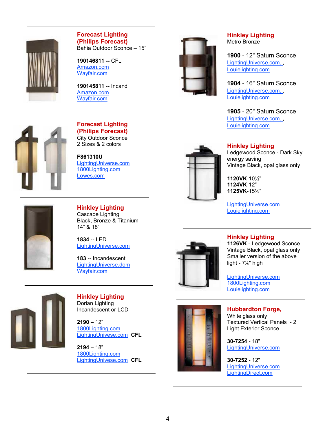

#### **Forecast Lighting (Philips Forecast )** Bahia Outdoor Sconce – 15"

**190146811 --** CFL [Amazon.com](http://www.amazon.com/Philips-Forecast-190146811-Outdoor-Lantern/dp/B0079LTO1O/ref=sr_1_1?s=hi&ie=UTF8&qid=1366730065&sr=1-1&keywords=Philips+Forecast+190146811) [Wayfair.com](http://www.wayfair.com/Philips-Forecast-Lighting-Bahia-1-Light-Outdoor-Wall-Light-19014-FCL3564.html)

**190145811** -- Incand [Amazon.com](http://www.amazon.com/Philips-Forecast-190145811-Outdoor-Lantern/dp/B0079LTOSM/ref=sr_1_1?s=hi&ie=UTF8&qid=1366729964&sr=1-1&keywords=Philips+Forecast+190145811) [Wayfair.com](http://www.wayfair.com/Philips-Forecast-Lighting-Bahia-1-Light-Outdoor-Wall-Light-19014-FCL3564.html)



#### **Forecast Lighting (Philips Forecast )** City Outdoor Sconce

2 Sizes & 2 colors

**F861310U** [LightingUniverse.com](http://www.lightinguniverse.com/outdoor-sconces/philips-forecast-f861-city-energy-efficient-outdoor-sconce_g676046.html?isku=6188602&term=Forecast-city&linkloc=searchProductItemsImage) [1800Lighting.com](http://www.1800lighting.com/Forecast-Lighting/City/item.cfm?itemsku=F861310) [Lowes.com](http://www.lowes.com/pd_424828-45020-F861310_0__?productId=4143781&Ntt=outdoor+wall+lighting)



**Hinkley Lighting** Cascade Lighting Black, Bronze & Titanium 14" & 18"

**1834** -- LED [LightingUniverse.com](http://www.lightinguniverse.com/outdoor-sconces/hinkley-lighting-1834-cascade-led-outdoor-sconce_g787087.html?isku=6756137&term=hinkley-cascade&linkloc=searchProductItemsImage)

**183** -- Incandescent [LightingUniverse.dom](http://www.lightinguniverse.com/outdoor-sconces/hinkley-lighting-183-cascade-outdoor-wall-sconce_g1126073.html?linkloc=searchProductItemsName&term=hinkley-cascade) [Wayfair.com](http://www.wayfair.com/Hinkley-Lighting-Cascade-One-Light-Large-Outdoor-Wall-Lantern-with-Alabaster-Glass-HD5088.html)



**Hinkley Lighting** Dorian Lighting Incandescent or LCD

**2190 –** 12" [1800Lighting.com](http://www.1800lighting.com/Hinkley-Lighting/Dorian/item.cfm?itemsku=2190BZ) [LightingUnivese.com](http://www.lightinguniverse.com/outdoor-sconces/hinkley-lighting-219-dorian-outdoor-cfl-wall-sconce_g1456991.html?linkloc=searchProductItemsName&term=hinkley-dorian) **CFL**

**2194** – 18" [1800Lighting.com](http://www.1800lighting.com/Hinkley-Lighting/Dorian/item.cfm?itemsku=2194BZ) [LightingUnivese.com](http://www.lightinguniverse.com/outdoor-sconces/hinkley-lighting-219-dorian-outdoor-cfl-wall-sconce_g1456991.html?linkloc=searchProductItemsName&term=hinkley-dorian) **CFL**



#### **Hinkley Lighting**  Metro Bronze

**1900** - 12" Saturn Sconce [LightingUniverse.com,](http://www.lightinguniverse.com/products/view.aspx?sku=819306) , [Louielighting.com](http://www.louielighting.com/Hinkley-Lighting-1900-Saturn-Small-Wall-Outdoor?utm_source=Nextopia&utm_medium=EcommSearch&utm_campaign=nextopia-product-search)

**1904** - 16" Saturn Sconce [LightingUniverse.com,](http://www.lightinguniverse.com/products/view.aspx?sku=819312) , [Louielighting.com](http://www.louielighting.com/Hinkley-Lighting-1904-Saturn-Medium-Wall-Outdoor?utm_source=Nextopia&utm_medium=EcommSearch&utm_campaign=nextopia-product-search)

**1905** - 20" Saturn Sconce LightingUniverse.com., [Louielighting.com](http://www.louielighting.com/Hinkley-Lighting-1905-Saturn-Large-Wall-Outdoor?utm_source=Nextopia&utm_medium=EcommSearch&utm_campaign=nextopia-product-search)



**Hinkley Lighting** Ledgewood Sconce - Dark Sky energy saving Vintage Black, opal glass only

**1120VK** -10½" **1124VK** -12" **1125VK** -15½"

[LightingUniverse.com](http://www.lightinguniverse.com/products/view.aspx?sku=3426713) [Louielighting.com](http://www.louielighting.com/Hinkley-Lighting-Ledgewood-Outdoor-Wall-Sconce-1124?utm_source=Nextopia&utm_medium=EcommSearch&utm_campaign=nextopia-product-search)



## **Hinkley Lighting**

**1126VK** - Ledgewood Sconce Vintage Black, opal glass only Smaller version of the above light - 7¼" high

[LightingUniverse.com](http://www.lightinguniverse.com/outdoor-sconce/hinkley-lighting-1126-ledgewood-energy-star-mini-outdoor-sconce_g356052.html&linkLoc=related) [1800Lighting.com](http://www.1800lighting.com/Hinkley-Lighting/item.cfm?itemsku=1126MR) [Louielighting.com](http://www.louielighting.com/Hinkley-Lighting-Ledgewood-Mini-Outdoor-Wall-Sconce-1126?utm_source=Nextopia&utm_medium=EcommSearch&utm_campaign=nextopia-product-search)

#### **Hubbardton Forge,**

White glass only Textured Vertical Panels - 2 Light Exterior Sconce

**30 -7254** - 18" [LightingUniverse.com](http://www.lightinguniverse.com/products/view.aspx?sku=798125)

**30 -7252** - 12" [LightingUniverse.com](http://www.lightinguniverse.com/products/view.aspx?sku=798115) [LightingDirect.com](http://www.lightingdirect.com/hubbardton-forge-307252-1-light-small-outdoor-wall-sconce-from-the-vertical-panels-collection/p1563461)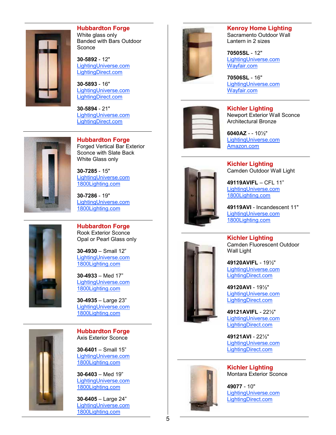

#### **Hubbardton Forge** White glass only Banded with Bars Outdoor **Sconce**

**30 -5892** - 12" [LightingUniverse.com](http://www.lightinguniverse.com/wall-sconces/hubbardton-forge-20-5892-banded-with-bars-ada-wall-sconce_g3268.html?linkloc=collectionProductItemsName) [LightingDirect.com](http://www.lightingdirect.com/hubbardton-forge-305892-rustic-lodge-single-light-ambient-lighting-small-outdoor-wall-sconce-from-the-banded-collection/p1255450)

**30 -5893** - 16" LightingUniverse.com [LightingDirect.com](http://www.lightingdirect.com/hubbardton-forge-305893-1-light-medium-outdoor-wall-washer-from-the-banded-collection/p1323148)

**30 -5894** - 21" [LightingUniverse.com](http://www.lightinguniverse.com/products/view.aspx?sku=5213039) [LightingDirect.com](http://www.lightingdirect.com/hubbardton-forge-305894-single-light-ambient-lighting-large-outdoor-wall-sconce-from-the-banded-collection/p1397139)



**Hubbardton Forge** Forged Vertical Bar Exterior Sconce with Slate Back White Glass only

**30 -7285** - 15" [LightingUniverse.com](http://www.lightinguniverse.com/outdoor-sconces/hubbardton-forge-30-7285-sl-forged-vertical-bar-small-outdoor-sconce-w-slate_g142330.html?isku=9485335&term=30-7285&linkloc=searchProductItemsImage) [1800Lighting.com](http://www.1800lighting.com/Hubbardton-Forge/Forged-Vertical-Bar/item.cfm?itemsku=30-7285-10-G66)

**30 -7286** - 19" [LightingUniverse.com](http://www.lightinguniverse.com/outdoor-sconces/hubbardton-forge-30-7286-sl-forged-vertical-bar-medium-outdoor-sconce-w-slate_g142337.html?isku=9485380&term=30-7286&linkloc=searchProductItemsImage) [1800Lighting.com](http://www.1800lighting.com/Hubbardton-Forge/Forged-Vertical-Bar/item.cfm?itemsku=30-7286F-10-G34)



**Hubbardton Forge** Rook Exterior Sconce Opal or Pearl Glass only

**30 -4930** – Small 12" [LightingUniverse.com](http://www.lightinguniverse.com/outdoor-sconces/hubbardton-forge-30-4930-rook-small-ada-outdoor-sconce_g858112.html?linkloc=collectionProductItemsName) [1800Lighting.com](http://www.1800lighting.com/Hubbardton-Forge/Rook/item.cfm?itemsku=30-4930-10-G321)

**30 -4933** – Med 17" [LightingUniverse.com](http://www.lightinguniverse.com/outdoor-sconces/hubbardton-forge-30-4933-rook-medium-outdoor-sconce_g858113.html?isku=7081427&linkloc=collectionProductItemsImage) [1800Lighting.com](http://www.1800lighting.com/Hubbardton-Forge/Rook/item.cfm?itemsku=30-4933-10-G320)

**30 -4935** – Large 23" [LightingUniverse.com](http://www.lightinguniverse.com/outdoor-sconces/hubbardton-forge-30-4935-rook-large-outdoor-sconce_g858114.html?linkloc=collectionProductItemsName) [1800Lighting.com](http://www.1800lighting.com/Hubbardton-Forge/Rook/item.cfm?itemsku=30-4935-10-G319)



**Hubbardton Forge** Axis Exterior Sconce

**30 -6401** – Small 15 " [LightingUniverse.com](http://www.lightinguniverse.com/outdoor-sconces/hubbardton-forge-30-6401-axis-ada-outdoor-sconce-small_g1235671.html?isku=10252018&term=30-6401&linkloc=searchProductItemsImage) [1800Lighting.com](http://www.1800lighting.com/Hubbardton-Forge/Axis/item.cfm?itemsku=30-6401)

**30 -6403** – Med 19 " [LightingUniverse.com](http://www.lightinguniverse.com/outdoor-sconces/hubbardton-forge-30-6403-axis-ada-outdoor-sconce-medium_g1235672.html?isku=10260599&term=30-6403&linkloc=searchProductItemsImage) [1800Lighting.com](http://www.1800lighting.com/Hubbardton-Forge/Axis/item.cfm?itemsku=30-6403-10-CTO)

**30 -6405** – Large 24 " [LightingUniverse.com](http://www.lightinguniverse.com/outdoor-sconces/hubbardton-forge-30-6405-axis-ada-outdoor-sconce-large_g1235673.html?isku=10260602&term=30-6405&linkloc=searchProductItemsImage) [1800Lighting.com](http://www.1800lighting.com/Hubbardton-Forge/Axis/item.cfm?itemsku=30-6405)



**Kenroy Home Lighting** Sacramento Outdoor Wall Lantern in 2 sizes

**70505SL** - 12" [LightingUniverse.com](http://www.lightinguniverse.com/outdoor-sconces/kenroy-home-70505sl-sacramento-small-outdoor-sconce-painted-copper_g382820.html?linkloc=searchProductItemsName&term=70505) [Wayfair.com](http://www.wayfair.com/Kenroy-Home-Sacramento-Outdoor-Wall-Sconce-in-Slate-70505SL-70506SL-LO4170.html)

**70506SL** - 16" [LightingUniverse.com](http://www.lightinguniverse.com/outdoor-sconces/kenroy-home-70506sl-sacramento-large-outdoor-sconce-painted-copper_g382822.html) [Wayfair.com](http://www.lightinguniverse.com/outdoor-sconces/kenroy-home-70506sl-sacramento-large-outdoor-sconce-painted-copper_g382822.html)



**Kichler Lighting** Newport Exterior Wall Sconce Architectural Bronze

**6040AZ** - - 10½" [LightingUniverse.com](http://www.lightinguniverse.com/products/view.aspx?sku=402688) [Amazon.com](http://www.amazon.com/Kichler-Lighting-6040AZ-Newport-Architectural/dp/B0002PSPLE)



**Kichler Lighting** Camden Outdoor Wall Light

**49119AVIFL** – CFL 11" [LightingUniverse.com](http://www.lightinguniverse.com/general/kichler-lighting-49119avifl-camden-fluorescent-outdoor-wall-light-anvil-iron_g643420.html?isku=5879057&linkloc=searchProductItemsImage) [1800Lighting.com](http://www.1800lighting.com/Kichler-Lighting/Camden/item.cfm?itemsku=49119AVIFL)

**49119AVI** - Incandescent 11" [LightingUniverse.com](http://www.lightinguniverse.com/outdoor-sconces/kichler-lighting-491-camden-outdoor-sconce_g645547.html?linkloc=searchProductItemsName&term=49119avi) [1800Lighting.com](http://www.1800lighting.com/Kichler-Lighting/Camden/item.cfm?itemsku=49119AVIFL)

**Kichler Lighting** Camden Fluorescent Outdoor Wall Light

**49120AVIFL** - 19½" [LightingUniverse.com](http://www.lightinguniverse.com/general/kichler-lighting-4912-camden-fluorescent-exterior-wall-sconce_g643424.html?linkloc=searchProductItemsName) [LightingDirect.com](http://www.lightingdirect.com/kichler-49120fl-transitional-two-light-fluorescent-outdoor-wall-sconce-from-the-camden-collection/p1222315)

**49120AVI** - 19½" [LightingUniverse.com](http://www.lightinguniverse.com/outdoor-sconces/kichler-lighting-491-camden-outdoor-sconce_g645547.html?linkloc=searchProductItemsName&term=kichler%20camden%20outdoor%20wall%20sc) [LightingDirect.com](http://www.lightingdirect.com/kichler-49120-transitional-two-light-outdoor-wall-sconce-from-the-camden-collection/p1222314)

**49121AVIFL** - 22½" [LightingUniverse.com](http://www.lightinguniverse.com/outdoor-sconces/kichler-lighting-49121avifl-2-light-camden-fluorescent-outdoor-sconce_g655385.html?linkloc=searchProductItemsName&term=49121) [LightingDirect.com](http://www.lightingdirect.com/kichler-49121-transitional-two-light-large-outdoor-wall-sconce-from-the-camden-collection/p1222316)

**49121AVI** - 22½" [LightingUniverse.com](http://www.lightinguniverse.com/outdoor-sconces/kichler-lighting-49121avi-2-light-camden-outdoor-sconce-anvil-iron_g645507.html?linkloc=searchProductItemsName&term=49121) [LightingDirect.com](http://www.lightingdirect.com/kichler-49121fl-transitional-two-light-large-fluorescent-outdoor-wall-sconce-from-the-camden-collection/p1222317)



**Kichler Lighting** Montara Exterior Sconce

**49077** - 10" [LightingUniverse.com](http://www.lightinguniverse.com/products/view.aspx?sku=5194194) [LightingDirect.com](http://www.lightingdirect.com/kichler-49077-rustic-country-single-light-up-lighting-ada-large-outdoor-wall-sconce-from-the-montara-collection/p1035475?searched=product:display&term=49077)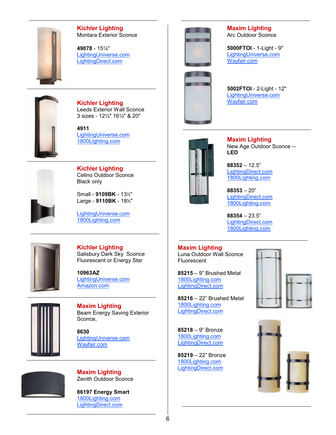

**Kichler Lighting** Montara Exterior Sconce

**49078** - 15¼" [LightingUniverse.com](http://www.lightinguniverse.com/products/view.aspx?sku=5194196) [LightingDirect.com](http://www.lightingdirect.com/kichler-49078-rustic-country-single-light-up-lighting-ada-tall-outdoor-wall-sconce-from-the-montara-collection/p1035476?searched=product:display&term=49078)



**Kichler Lighting** Leeds Exterior Wall Sconce 3 sizes - 12½" 16½" & 20"

**4911** [LightingUniverse.com](http://www.lightinguniverse.com/general/kichler-lighting-4911-leeds-exterior-wall-sconce_g645544.html?linkloc=searchProductItemsName) [1800Lighting.com](http://www.1800lighting.com/Kichler-Lighting/Leeds/item.cfm?itemsku=49111AVI)



**Kichler Lighting** Celino Outdoor Sconce Black only

Small - **9109BK** - 13½" Large - **9110BK** - 18½"

[LightingUniverse.com](http://www.lightinguniverse.com/general/kichler-lighting-9110b-celino-large-outdoor-wall-sconce_g362298.html?linkloc=searchProductItemsName) [1800Lighting.com](http://www.1800lighting.com/Kichler-Lighting/Celino/item.cfm?itemsku=9109BA)



**Kichler Lighting** Salisbury Dark Sky Sconce Fluorescent or Energy Star

**10963AZ** [LightingUniverse.com](http://www.lightinguniverse.com/products/view.aspx?sku=3024107&linkloc=singleSearchResult) [Amazon.com](http://www.amazon.com/Kichler-10963AZ-Architectural-Contemporary-Collection/dp/B00A8R8NVI)



**Maxim Lighting** Beam Energy Saving Exterior Sconce,

**8630** [LightingUniverse.com](http://www.lightinguniverse.com/products/view.aspx?sku=6190779) [Wayfair.com](http://www.wayfair.com/Maxim-Lighting-Beam-LED-Square-Outdoor-Wall-Sconce-88300WT-88303WT-MXL8842.html)



**Maxim Lighting** Zenith Outdoor Sconce

**86197 Energy Smart** [1800Lighting.com](http://www.1800lighting.com/Maxim-Lighting/Zenith-ES/item.cfm?itemsku=86197WTABZ) [LightingDirect.com](http://www.lightingdirect.com/maxim-86197-zenith-es-1-light-wall-mount/p1233319)





**Maxim Lighting** Arc Outdoor Sconce

**5000FTOI** - 1-Light - 9" [LightingUniverse.com](http://www.lightinguniverse.com/outdoor-sconces/maxim-lighting-5000ft-arc-outdoor-sconce_g527514.html?linkloc=searchProductItemsName&term=maxim-5000) [Wayfair.com](http://www.wayfair.com/Maxim-Lighting-Arc-Outdoor-Wall-Lantern-in-Oil-Rubbed-Bronze-85000FTOI-MXL3412.html)

**5002FTOI** - 2-Light - 12" [LightingUniverse.com](http://www.lightinguniverse.com/general/maxim-lighting-5002ft-arc-2-light-outdoor-wall-light_g527515.html?linkloc=searchProductItemsName) [Wayfair.com](http://www.wayfair.com/Maxim-Lighting-Arc-Outdoor-Wall-Lantern-in-Oil-Rubbed-Bronze-5002FTOI-MXL3363.html)



**Maxim Lighting** New Age Outdoor Sconce -- **LED**

**88352** – 12.5" [LightingDirect.com](http://www.lightingdirect.com/maxim-mx-88352-contemporary-modern-12-5-inch-single-light-led-outdoor-wall-sconce-from-the-optic-led-collection/p1682912) [1800Lighting.com](http://www.1800lighting.com/Maxim-Lighting/New-Age-LED/item.cfm?itemsku=88352CLTE)

**88353** – 20" [LightingDirect.com](http://www.lightingdirect.com/maxim-mx-88353-contemporary-modern-19-8-inch-single-light-led-outdoor-wall-sconce-from-the-optic-led-collection/p1682913) [1800Lighting.com](http://www.1800lighting.com/Maxim-Lighting/New-Age-LED/item.cfm?itemsku=88353CLTE)

**88354** – 23.5" [LightingDirect.com](http://www.lightingdirect.com/maxim-mx-88354-contemporary-modern-22-3-inch-single-light-led-outdoor-wall-sconce-from-the-optic-led-collection/p1682914) [1800Lighting.com](http://www.1800lighting.com/Maxim-Lighting/New-Age-LED/item.cfm?itemsku=88354CLTE)

## **Maxim Lighting**

Luna Outdoor Wall Sconce Fluorescent

**85215** – 9" Brushed Metal [1800Lighting.com](http://www.1800lighting.com/Maxim-Lighting/Luna/item.cfm?itemsku=85215WTBM) [LightingDirect.com](http://www.lightingdirect.com/maxim-mx-85215-single-light-reversible-wall-sconce/p352330)

**85216** – 22" Brushed Metal [1800Lighting.com](http://www.1800lighting.com/Maxim-Lighting/Luna/item.cfm?itemsku=85216WTBM) [LightingDirect.com](http://www.lightingdirect.com/maxim-85216wt-luna-es-2-light-outdoor-wall-lantern/p954230)

**85218** – 9" Bronze [1800Lighting.com](http://www.1800lighting.com/Maxim-Lighting/Luna/item.cfm?itemsku=85218WSOI) [LightingDirect.com](http://www.lightingdirect.com/maxim-mx-85218-interior-exterior-1-light-wall-sconce-from-the-luna-es-collection/p445530)

**85219** – 22" Bronze [1800Lighting.com](http://www.1800lighting.com/Maxim-Lighting/Luna/item.cfm?itemsku=85219WSOI) [LightingDirect.com](http://www.lightingdirect.com/maxim-mx-85219-interior-exterior-2-light-wall-sconce-from-the-luna-es-collection/p445531)



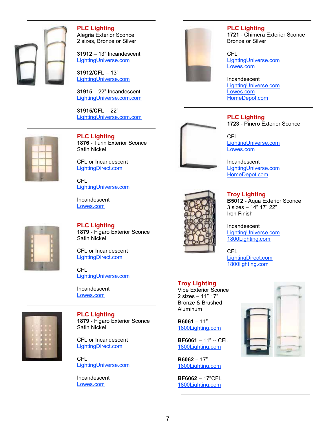

**PLC Lighting** Alegria Exterior Sconce 2 sizes, Bronze or Silver

**31912** – 13" Incandescent [LightingUniverse.com](http://www.lightinguniverse.com/outdoor-sconces/plc-lighting-31912-alegria-outdoor-sconce_g352903.html?linkloc=searchProductItemsName&term=plc-alegria)

**31912/CFL** – 13" [LightingUniverse.com](http://www.lightinguniverse.com/wall-sconces/plc-lighting-31912cfl-alegria-compact-flourescent-wall-sconce_g354165.html?linkloc=searchProductItemsName&term=plc-alegria)

**31915** – 22" Incandescent [LightingUniverse.com.com](http://www.lightinguniverse.com/wall-sconces/plc-lighting-31915-2-light-alegria-wall-sconce_g352904.html?isku=3339391&term=plc-alegria&linkloc=searchProductItemsImage)

**31915/CFL** – 22" [LightingUniverse.com.com](http://www.lightinguniverse.com/wall-sconces/plc-lighting-31915cfl-alegria-wall-sconce_g354166.html?isku=6882922&term=plc-alegria&linkloc=searchProductItemsImage)



**PLC Lighting 1876** - Turin Exterior Sconce Satin Nickel

CFL or Incandescent [LightingDirect.com](http://www.lightingdirect.com/plc-lighting-plc-1876-contemporary-modern-1-light-outdoor-wall-sconce-from-the-turin-collection/p361752?searched=product:display&term=plc%20turin)

CFL [LightingUniverse.com](http://www.lightinguniverse.com/outdoor-sconces/plc-lighting-1876cfl-turin-fluorescent-outdoor-sconce_g535711.html?isku=1071591&term=plc-turin&linkloc=searchProductItemsImage)

Incandescent [Lowes.com](http://www.lowes.com/pd_432329-44671-1876+SN_0__?productId=4607382&Ntt=plc+turin&pl=1¤tURL=%3FNtt%3Dplc%2Bturin&facetInfo=)



**PLC Lighting 1879** - Figaro Exterior Sconce Satin Nickel

CFL or Incandescent [LightingDirect.com](http://www.lightingdirect.com/plc-lighting-plc-1873-contemporary-modern-1-light-outdoor-wall-sconce-from-the-paolo-collection/p361751?searched=product:display&term=plc%20paolo)

CFL [LightingUniverse.com](http://www.lightinguniverse.com/commercial-outdoor-wall-lights/plc-lighting-1873cfl-sn-paolo-commercial-outdoor-wall-light_g535790.html?isku=1071587&term=plc-paolo&linkloc=searchProductItemsImage)

Incandescent [Lowes.com](http://www.lowes.com/pd_432329-44671-1873+SN_0__?productId=4579677&Ntt=paolo&pl=1¤tURL=%3FNtt%3Dpaolo&facetInfo=)



**PLC Lighting 1879** - Figaro Exterior Sconce

Satin Nickel

CFL or Incandescent [LightingDirect.com](http://www.lightingdirect.com/plc-lighting-plc-1879-contemporary-modern-1-light-outdoor-wall-sconce-from-the-figaro-collection/p361753)

CFL [LightingUniverse.com](http://www.lightinguniverse.com/outdoor-sconces/plc-lighting-1879cfl-figaro-fluorescent-outdoor-sconce_g535783.html?linkloc=searchProductItemsName&term=plc-figaro)

Incandescent [Lowes.com](http://www.lowes.com/pd_432329-44671-1879+SN_0__?Ntt=figaro&UserSearch=figaro&productId=4607386&rpp=48)



**PLC Lighting 1721** - Chimera Exterior Sconce Bronze or Silver

CFL [LightingUniverse.com](http://www.lightinguniverse.com/outdoor-sconces/plc-lighting-1721cfl-chimera-outdoor-sconce_g828522.html?isku=6899789&term=plc-chimera&linkloc=searchProductItemsImage) [Lowes.com](http://www.lowes.com/pd_432329-44671-1721/CFL+SL_0__?productId=4607282&Ntt=plc+chimera&pl=1¤tURL=%3FNtt%3Dplc%2Bchimera&facetInfo=)

Incandescent [LightingUniverse.com](http://www.lightinguniverse.com/outdoor-sconces/plc-lighting-1721-chimera-outdoor-sconce_g524001.html?isku=4911161&term=plc-chimera&linkloc=searchProductItemsImage) [Lowes.com](http://www.lowes.com/pd_432329-44671-1721+BZ_0__?productId=4607276&Ntt=plc+chimera&pl=1¤tURL=%3FNtt%3Dplc%2Bchimera&facetInfo=) [HomeDepot.com](http://www.homedepot.com/p/PLC-Lighting-1-Light-Outdoor-Wall-Sconce-Silver-Finish-Matte-Opal-Glass-CLI-HD1721SL/202902340?N=25ecodZbvmx#.UXkzcrWW98E)

#### **PLC Lighting 1723** - Pinero Exterior Sconce

CFL [LightingUniverse.com](http://www.lightinguniverse.com/general/plc-lighting-1723cfl-pinero-outdoor-wall-sconce_g828523.html?isku=6899790&linkloc=searchProductItemsImage) [Lowes.com](http://www.lowes.com/pd_411817-44671-1723/CFL+BZ_0__?productId=3764993&Ntt=pinero&pl=1¤tURL=%3FNtt%3Dpinero&facetInfo=)

Incandescent [LightingUniverse.com](http://www.lightinguniverse.com/outdoor-sconces/plc-lighting-1723-pinero-outdoor-sconce_g524002.html?linkloc=searchProductItemsName&term=plc-1723) [HomeDepot.com](http://www.homedepot.com/Lighting-Fans-Outdoor-Lighting-Outdoor-Wall-Lighting/h_d1/N-25ecodZ5yc1vZ25ecodZ25ecodZbvmm/R-202902341/h_d2/ProductDisplay?catalogId=10053&langId=-1&keyword=plc+lighting&storeId=10051#.UQMo-L-7N8E)



**Troy Lighting B5012** - Aqua Exterior Sconce 3 sizes – 14" 17" 22" Iron Finish

Incandescent [LightingUniverse.com](http://www.lightinguniverse.com/outdoor-sconces/troy-lighting-b501-aqua-outdoor-sconce-french-iron_g527275.html?isku=4967764&term=Troy-aqua&linkloc=searchProductItemsImage) [1800Lighting.com](http://http/www.1800lighting.com/Troy-Lighting/Aqua/item.cfm?itemsku=B5011FI)

**CFL** [LightingDirect.com](http://www.lightingdirect.com/troy-lighting-bf5011-contemporary-modern-one-light-14-high-outdoor-wall-sconce-from-the-aqua-collection/p1598058) [1800lighting.com](http://www.1800lighting.com/Troy-Lighting/Aqua/item.cfm?itemsku=BF5012FI)

#### **Troy Lighting**

Vibe Exterior Sconce 2 sizes – 11" 17" Bronze & Brushed Aluminum

**B6061** – 11" [1800Lighting.com](http://www.1800lighting.com/Troy-Lighting/Vibe/item.cfm?itemsku=B6061ARB)

**BF6061** – 11" -- CFL [1800Lighting.com](http://www.1800lighting.com/Troy-Lighting/Vibe/item.cfm?itemsku=B6061ARB)

**B6062** – 17" [1800Lighting.com](http://www.1800lighting.com/Troy-Lighting/Vibe/item.cfm?itemsku=B6062ARB)

**BF6062** – 17"CFL [1800Lighting.com](http://www.1800lighting.com/Troy-Lighting/Vibe/item.cfm?itemsku=BF6062ARB)



7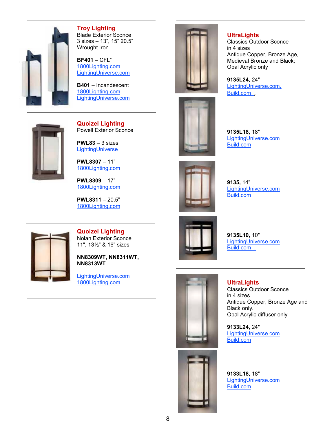

#### **Troy Lighting** Blade Exterior Sconce 3 sizes – 13", 15" 20.5" Wrought Iron

**BF401** – CFL" [1800Lighting.com](http://www.1800lighting.com/Troy-Lighting/Vibe/item.cfm?itemsku=B6061ARB) [LightingUniverse.com](http://www.lightinguniverse.com/wall-sconces/troy-lighting-bf401-blade-fluorescent-wall-sconce-forged-iron_g527300.html?isku=4967804&term=troy-blade&linkloc=searchProductItemsImage)

**B401** – Incandescent [1800Lighting.com](http://www.1800lighting.com/Troy-Lighting/Blade/item.cfm?itemsku=BF4015FI) [LightingUniverse.com](http://www.lightinguniverse.com/wall-sconces/troy-lighting-b401-blade-wall-sconce-forged-iron_g527299.html?linkloc=searchProductItemsName&term=troy-blade)



**Quoizel Lighting**

Powell Exterior Sconce

**PWL83** – 3 sizes [LightingUniverse](http://www.lightinguniverse.com/general/quoizel-pwl83-powell-exterior-sconce-western-bronze_g789252.html?linkloc=searchProductItemsName)

**PWL8307** – 11" [1800Lighting.com](http://www.1800lighting.com/Quoizel-Lighting/Powell/item.cfm?itemsku=PWL8307WT)

**PWL8309** – 17" [1800Lighting.com](http://www.1800lighting.com/Quoizel-Lighting/Powell/item.cfm?itemsku=PWL8309WT)

**PWL8311** – 20.5" [1800Lighting.com](http://www.1800lighting.com/Quoizel-Lighting/Powell/item.cfm?itemsku=PWL8311WT)



**Quoizel Lighting** Nolan Exterior Sconce 11", 13½" & 16" sizes

**NN8309WT, NN8311WT, NN8313WT**

[LightingUniverse.com](http://www.lightinguniverse.com/outdoor-sconces/quoizel-nn83-nolan-outdoor-sconce_g640493.html?isku=5867430&linkloc=cataLogProductItemsImage) [1800Lighting.com](http://www.1800lighting.com/Quoizel-Lighting/Nolan/item.cfm?itemsku=NN8313WT)





**9135L18,** 18" LightingUniverse.com [Build.com](http://www.build.com/ultralights-9135l18-classics-2-light-wall-sconce-with-customizable-diffuser-and-indoor-outdoor-lamping-options/p2082708)



**9135,** 14" [LightingUniverse.com](http://www.lightinguniverse.com/products/view.aspx?sku=1611584&searchTerm=9135) [Build.com](http://www.build.com/ultralights-9135-classics-1-light-wall-sconce-with-customizable-diffuser-and-indoor-outdoor-lamping-options/p2082706)



**9135L10,** 10" [LightingUniverse.com](http://www.lightinguniverse.com/outdoor-sconces/ultralights-9135l10-classics-1-light-wall-sconce_g1231722.html?isku=756503) [Build.com,](http://www.build.com/ultralights-9135l10-classics-1-light-wall-sconce-with-customizable-diffuser-and-indoor-outdoor-lamping-options/p2082707) ,



**UltraLights** Classics Outdoor Sconce in 4 sizes Antique Copper, Bronze Age and Black only. Opal Acrylic diffuser only

**9133L24,** 24" [LightingUniverse.com](http://www.lightinguniverse.com/products/view.aspx?sku=531112&searchTerm=9133L24) [Build.com](http://www.build.com/ultralights-9133l24-classics-2-light-wall-sconce-with-customizable-diffuser-and-indoor-outdoor-lamping-options/p2082704)



**9133L18,** 18" [LightingUniverse.com](http://www.lightinguniverse.com/products/view.aspx?sku=530408&searchTerm=9133L18) [Build.com](http://www.build.com/ultralights-9133l18-classics-2-light-wall-sconce-with-customizable-diffuser-and-indoor-outdoor-lamping-options/p2082703)

**UltraLights**

Classics Outdoor Sconce in 4 sizes Antique Copper, Bronze Age, Medieval Bronze and Black; Opal Acrylic only

**9135L24,** 24" [LightingUniverse.com,](http://www.lightinguniverse.com/products/view.aspx?sku=1612509&searchTerm=9135L24) [Build.com,](http://www.build.com/ultralights-9135l24-classics-2-light-wall-sconce-with-customizable-diffuser-and-indoor-outdoor-lamping-options/p2082709) ,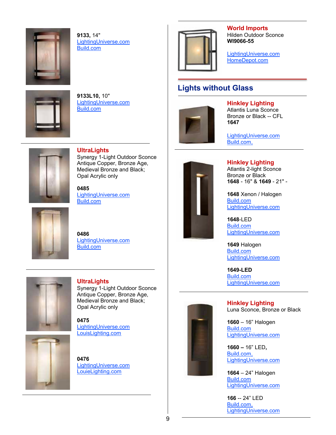

**9133,** 14" [LightingUniverse.com](http://www.lightinguniverse.com/products/view.aspx?sku=528715&searchTerm=9133) [Build.com](http://www.build.com/ultralights-9133-classics-1-light-wall-sconce-with-customizable-diffuser-and-indoor-outdoor-lamping-options/p2082701)

**9133L10,** 10"

[Build.com](http://www.build.com/ultralights-9133l10-classics-1-light-wall-sconce-with-customizable-diffuser-and-indoor-outdoor-lamping-options/p2082702)

[LightingUniverse.com](http://www.lightingdirect.com/ultralights-9133l10-classics-1-light-wall-sconce-with-customizable-diffuser-and-indoor-outdoor-lamping-options/p2082702?searched=product:display&term=UltraLights%209133L10)



**World Imports** Hilden Outdoor Sconce **WI9066-55**

LightingUniverse.com [HomeDepot.com](http://www.homedepot.com/Lighting-Fans-Outdoor-Lighting-Outdoor-Wall-Lighting/h_d1/N-25ecodZ5yc1vZ25ecodZ25ecodZbvmm/R-202046836/h_d2/ProductDisplay?catalogId=10053&langId=-1&keyword=world+imports&storeId=10051#.UQQFtL-7N8E)

## **Lights without Glass**



**Hinkley Lighting**

Atlantis Luna Sconce Bronze or Black -- CFL **1647**

[LightingUniverse.com](http://www.lightinguniverse.com/products/view.aspx?sku=3413889&searchTerm=1647) [Build.com,](http://www.build.com/hinkley-lighting-h1647-two-light-outdoor-wall-sconce-from-the-luna-family/p504672)



**UltraLights**

Synergy 1-Light Outdoor Sconce Antique Copper, Bronze Age, Medieval Bronze and Black; Opal Acrylic only

**0485** LightingUniverse.com [Build.com](http://www.build.com/ultralights-0485-synergy-1-light-ada-compliant-wall-washer-with-customizable-diffuser-and-lamping/p2082643?searched=product:display&term=0485)



**0486** [LightingUniverse.com](http://www.lightinguniverse.com/wall-sconces/ultralights-0486-synergy-1-light-outdoor-wall-sconce_g1038941.html?linkloc=searchProductItemsName&term=0486) [Build.com](http://www.build.com/ultralights-0486-synergy-1-light-ada-compliant-wall-sconce-with-customizable-diffuser-and-indoor-outdoor-lamping-options/p2082644?searched=browse:category&term=0486)



**UltraLights** Synergy 1-Light Outdoor Sconce Antique Copper, Bronze Age, Medieval Bronze and Black; Opal Acrylic only

**0475** [LightingUniverse.com](http://www.lightinguniverse.com/wall-sconces/ultralights-0475-synergy-1-light-outdoor-wall-sconce_g1038914.html?isku=7919062&term=0475) [LouisLighting.com](http://www.louielighting.com/UltraLights-0475-Synergy-Outdoor-Wall-Sconce?utm_source=Nextopia&utm_medium=EcommSearch&utm_campaign=nextopia-product-search)

[LightingUniverse.com](http://www.lightinguniverse.com/wall-sconces/ultralights-0476-synergy-1-light-outdoor-wall-sconce_g1038917.html?linkloc=searchProductItemsName&term=0476) LouieLighting.com



**Hinkley Lighting** Atlantis 2-light Sconce Bronze or Black **1648** - 16" & **1649** - 21" -

**1648** Xenon / Halogen [Build.com](http://www.build.com/hinkley-lighting-h1648-art-deco-retro-2-light-outdoor-wall-sconce-from-the-atlantis-collection/p1701473) [LightingUniverse.com](http://www.lightinguniverse.com/outdoor-sconces/hinkley-lighting-1648-2-light-atlantis-outdoor-sconce_g145034.html?linkloc=searchProductItemsName&term=1648)

**1648-LED** [Build.com](http://www.build.com/hinkley-lighting-1648-led-contemporary-modern-two-light-16-tall-dark-sky-led-outdoor-wall-sconce-from-the-atlantis-collection/p1709838) [LightingUniverse.com](http://www.lightinguniverse.com/products/view.aspx?sku=6753605&linkloc=singleSearchResult)

**1649** Halogen [Build.com](http://www.build.com/hinkley-lighting-h1649-art-deco-retro-two-light-halogen-ada-compliant-outdoor-wall-fixture-from-the-atlantis-collection/p1701474) [LightingUniverse.com](http://www.lightinguniverse.com/outdoor-sconce/hinkley-lighting-1649-atlantis-2-light-outdoor-sconce_g278189.html?linkLoc=bought)

**1649-LED** [Build.com](http://www.build.com/hinkley-lighting-1649-led-outdoor-wall-sconce-from-the-atlantis-collection/p1336001?searched=product:display&term=1649-LED) [LightingUniverse.com](http://www.lightinguniverse.com/products/view.aspx?sku=6753605&linkloc=singleSearchResult)



**Hinkley Lighting** Luna Sconce, Bronze or Black

**1660** – 16" Halogen [Build.com](http://www.build.com/hinkley-lighting-h1660-art-deco-retro-two-light-halogen-ada-compliant-outdoor-wall-sconce-from-the-luna-collection/p561875) [LightingUniverse.com](http://www.lightinguniverse.com/products/view.aspx?sku=3427253&searchTerm=1660)

**1660 –** 16" LED**,**  [Build.com,](http://www.build.com/hinkley-lighting-1660-led-contemporary-modern-two-light-16-75-tall-dark-sky-led-outdoor-wall-sconce-from-the-luna-collection/p1709847?searched=product:display&term=1660-led) [LightingUniverse.com](http://www.lightinguniverse.com/products/view.aspx?sku=6753776&linkloc=singleSearchResult)

**1664** – 24" Halogen [Build.com](http://www.build.com/hinkley-lighting-h1664-art-deco-retro-two-light-halogen-ada-compliant-outdoor-wall-sconce-from-the-luna-collection/p561877) [LightingUniverse.com](http://www.lightinguniverse.com/outdoor-sconces/hinkley-lighting-166-2-light-luna-outdoor-sconce_g355864.html?isku=6753770&term=1664&linkloc=searchProductItemsImage)

**166** -- 24" LED [Build.com,](http://www.lightinguniverse.com/outdoor-sconces/hinkley-lighting-166-luna-led-wall-sconce_g698264.html?isku=6753776&term=166&linkloc=searchProductItemsImage) [LightingUniverse.com](http://www.lightinguniverse.com/products/view.aspx?sku=6753776&linkloc=singleSearchResult)

# **0476**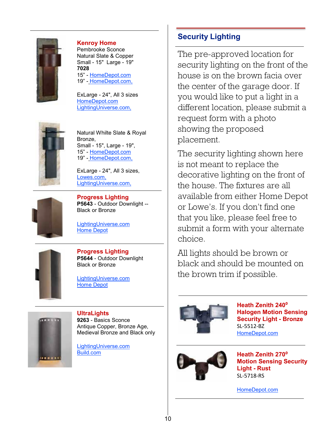

#### **Kenroy Home**

Pembrooke Sconce Natural Slate & Copper Small - 15" Large - 19" **7028** 15" - [HomeDepot.com](http://www.homedepot.com/webapp/wcs/stores/servlet/ProductDisplay?langId=-1&storeId=10051&catalogId=10053&R=202749891&catEntryId=202749891#.UQQHSL-7N8E) 19" - [HomeDepot.com,](http://www.homedepot.com/webapp/wcs/stores/servlet/ProductDisplay?langId=-1&storeId=10051&catalogId=10053&R=202749893&catEntryId=202749893#.UQQHE7-7N8E)

ExLarge - 24", All 3 sizes [HomeDepot.com](http://www.homedepot.com/Lighting-Fans-Outdoor-Lighting-Outdoor-Wall-Lighting/h_d1/N-25ecodZ5yc1vZ25ecodZ25ecodZbvmm/R-202749895/h_d2/ProductDisplay?catalogId=10053&langId=-1&keyword=kenroy&storeId=10051#.UQQGjr-7N8E) [LightingUniverse.com,](http://www.lightinguniverse.com/outdoor-sconce/70286-one-light-pembrooke-wall-lantern_g281965.html)



Natural Whilte Slate & Royal Bronze, Small - 15", Large - 19", 15" - [HomeDepot.com](http://www.homedepot.com/webapp/wcs/stores/servlet/ProductDisplay?langId=-1&storeId=10051&catalogId=10053&R=202749892&catEntryId=202749892#.UQQInL-7N8E) 19" - [HomeDepot.com,](http://www.homedepot.com/Lighting-Fans-Outdoor-Lighting-Outdoor-Wall-Lighting/h_d1/N-25ecodZ5yc1vZ25ecodZ25ecodZbvmm/R-202749894/h_d2/ProductDisplay?catalogId=10053&langId=-1&keyword=kenroy&storeId=10051#.UQQIdr-7N8E)

ExLarge - 24", All 3 sizes, [Lowes.com,](http://www.lowes.com/pd_416383-44969-70287WHSL_4294857035__?productId=3787953&Ntt=kenroy+home&pl=1¤tURL=%3FNtt%3Dkenroy%2Bhome&facetInfo=) [LightingUniverse.com,](http://www.lightinguniverse.com/outdoor-sconce/70286-one-light-pembrooke-wall-lantern_g281965.html)



**Progress Lighting P5643** - Outdoor Downlight -- Black or Bronze

[LightingUniverse.com](http://www.lightinguniverse.com/products/view.aspx?sku=337291&searchTerm=P5643) [Home Depot](http://www.homedepot.com/Lighting-Fans-Outdoor-Lighting-Outdoor-Wall-Mount/h_d1/N-5yc1vZ1xh7Zarwi/R-100467532/h_d2/ProductDisplay?langId=-1&storeId=10051&catalogId=10053)



**Progress Lighting P5644** - Outdoor Downlight Black or Bronze

[LightingUniverse.com](http://www.lightinguniverse.com/products/view.aspx?sku=337294&searchTerm=P5644) [Home Depot](http://www.homedepot.com/Lighting-Fans-Outdoor-Lighting-Outdoor-Wall-Mount/h_d1/N-5yc1vZ1xh7Zarwi/R-100467535/h_d2/ProductDisplay?langId=-1&storeId=10051&catalogId=10053)



**UltraLights 9263** - Basics Sconce Antique Copper, Bronze Age, Medieval Bronze and Black only

[LightingUniverse.com](http://www.lightinguniverse.com/outdoor-sconces/ultralights-9263-basics-outdoor-wall-sconce_g130865.html?isku=1596127) [Build.com](http://www.build.com/ultralights-9263-basics-1-light-wall-sconce-with-customizable-indoor-outdoor-lamping-options/p2082716)

## **Security Lighting**

The pre-approved location for security lighting on the front of the house is on the brown facia over the center of the garage door. If you would like to put a light in a different location, please submit a request form with a photo showing the proposed placement.

The security lighting shown here is not meant to replace the decorative lighting on the front of the house. The fixtures are all available from either Home Depot or Lowe's. If you don't find one that you like, please feel free to submit a form with your alternate choice.

All lights should be brown or black and should be mounted on the brown trim if possible.



**Heath Zenith 240**⁰ **Halogen Motion Sensing Security Light - Bronze** SL-5512-BZ [HomeDepot.com](http://www.homedepot.com/Lighting-Fans-Security-Emergency-Lighting/h_d1/N-5yc1vZ1xh7Zbq8s/R-100645215/h_d2/ProductDisplay?langId=-1&storeId=10051&catalogId=10053)



**Heath Zenith 270**⁰ **Motion Sensing Security Light - Rust** SL-5718-RS

[HomeDepot.com](http://www.homedepot.com/Lighting-Fans-Security-Emergency-Lighting/h_d1/N-5yc1vZ1xh7Zbq8s/R-100645224/h_d2/ProductDisplay?langId=-1&storeId=10051&catalogId=10053)